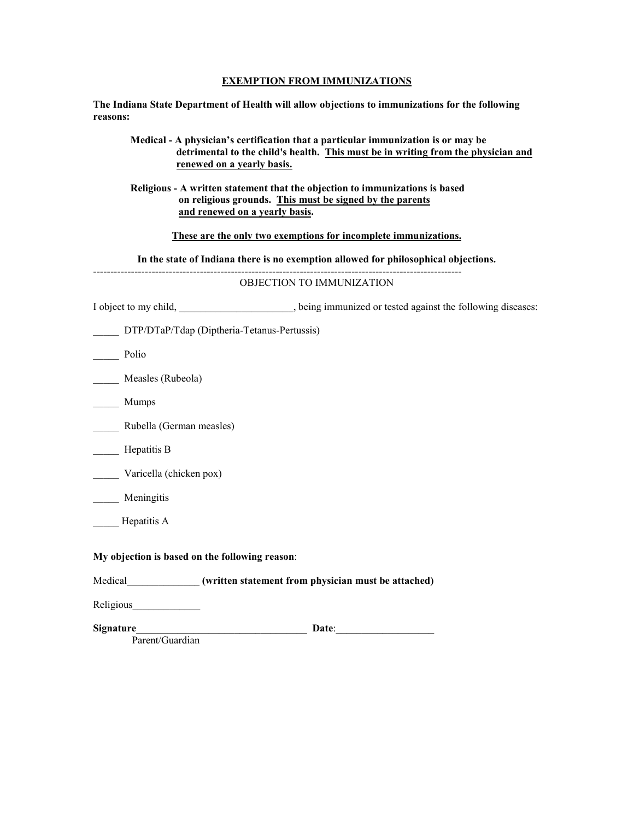## **EXEMPTION FROM IMMUNIZATIONS**

| The Indiana State Department of Health will allow objections to immunizations for the following |
|-------------------------------------------------------------------------------------------------|
| reasons:                                                                                        |

|                                                                                                                                                                            | Medical - A physician's certification that a particular immunization is or may be<br>detrimental to the child's health. This must be in writing from the physician and<br>renewed on a yearly basis. |  |
|----------------------------------------------------------------------------------------------------------------------------------------------------------------------------|------------------------------------------------------------------------------------------------------------------------------------------------------------------------------------------------------|--|
| Religious - A written statement that the objection to immunizations is based<br>on religious grounds. This must be signed by the parents<br>and renewed on a yearly basis. |                                                                                                                                                                                                      |  |
|                                                                                                                                                                            | These are the only two exemptions for incomplete immunizations.                                                                                                                                      |  |
| In the state of Indiana there is no exemption allowed for philosophical objections.                                                                                        |                                                                                                                                                                                                      |  |
|                                                                                                                                                                            | OBJECTION TO IMMUNIZATION                                                                                                                                                                            |  |
|                                                                                                                                                                            | I object to my child, ____________________, being immunized or tested against the following diseases:                                                                                                |  |
|                                                                                                                                                                            | DTP/DTaP/Tdap (Diptheria-Tetanus-Pertussis)                                                                                                                                                          |  |
| Polio                                                                                                                                                                      |                                                                                                                                                                                                      |  |
| Measles (Rubeola)                                                                                                                                                          |                                                                                                                                                                                                      |  |
| Mumps                                                                                                                                                                      |                                                                                                                                                                                                      |  |
| Rubella (German measles)                                                                                                                                                   |                                                                                                                                                                                                      |  |
| Hepatitis B                                                                                                                                                                |                                                                                                                                                                                                      |  |
| Varicella (chicken pox)                                                                                                                                                    |                                                                                                                                                                                                      |  |
| Meningitis                                                                                                                                                                 |                                                                                                                                                                                                      |  |
| Hepatitis A                                                                                                                                                                |                                                                                                                                                                                                      |  |
|                                                                                                                                                                            | My objection is based on the following reason:                                                                                                                                                       |  |
|                                                                                                                                                                            | Medical_______________(written statement from physician must be attached)                                                                                                                            |  |
|                                                                                                                                                                            |                                                                                                                                                                                                      |  |
|                                                                                                                                                                            | Signature<br>Date:                                                                                                                                                                                   |  |

Parent/Guardian